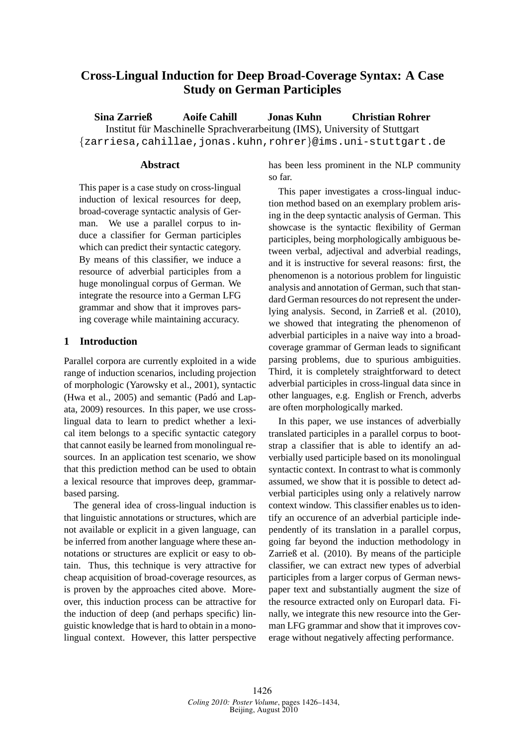# **Cross-Lingual Induction for Deep Broad-Coverage Syntax: A Case Study on German Participles**

**Sina Zarrieß Aoife Cahill Jonas Kuhn Christian Rohrer** Institut für Maschinelle Sprachverarbeitung (IMS), University of Stuttgart {zarriesa,cahillae,jonas.kuhn,rohrer}@ims.uni-stuttgart.de

# **Abstract**

This paper is a case study on cross-lingual induction of lexical resources for deep, broad-coverage syntactic analysis of German. We use a parallel corpus to induce a classifier for German participles which can predict their syntactic category. By means of this classifier, we induce a resource of adverbial participles from a huge monolingual corpus of German. We integrate the resource into a German LFG grammar and show that it improves parsing coverage while maintaining accuracy.

### **1 Introduction**

Parallel corpora are currently exploited in a wide range of induction scenarios, including projection of morphologic (Yarowsky et al., 2001), syntactic (Hwa et al., 2005) and semantic (Padó and Lapata, 2009) resources. In this paper, we use crosslingual data to learn to predict whether a lexical item belongs to a specific syntactic category that cannot easily be learned from monolingual resources. In an application test scenario, we show that this prediction method can be used to obtain a lexical resource that improves deep, grammarbased parsing.

The general idea of cross-lingual induction is that linguistic annotations or structures, which are not available or explicit in a given language, can be inferred from another language where these annotations or structures are explicit or easy to obtain. Thus, this technique is very attractive for cheap acquisition of broad-coverage resources, as is proven by the approaches cited above. Moreover, this induction process can be attractive for the induction of deep (and perhaps specific) linguistic knowledge that is hard to obtain in a monolingual context. However, this latter perspective has been less prominent in the NLP community so far.

This paper investigates a cross-lingual induction method based on an exemplary problem arising in the deep syntactic analysis of German. This showcase is the syntactic flexibility of German participles, being morphologically ambiguous between verbal, adjectival and adverbial readings, and it is instructive for several reasons: first, the phenomenon is a notorious problem for linguistic analysis and annotation of German, such that standard German resources do not represent the underlying analysis. Second, in Zarrieß et al. (2010), we showed that integrating the phenomenon of adverbial participles in a naive way into a broadcoverage grammar of German leads to significant parsing problems, due to spurious ambiguities. Third, it is completely straightforward to detect adverbial participles in cross-lingual data since in other languages, e.g. English or French, adverbs are often morphologically marked.

In this paper, we use instances of adverbially translated participles in a parallel corpus to bootstrap a classifier that is able to identify an adverbially used participle based on its monolingual syntactic context. In contrast to what is commonly assumed, we show that it is possible to detect adverbial participles using only a relatively narrow context window. This classifier enables us to identify an occurence of an adverbial participle independently of its translation in a parallel corpus, going far beyond the induction methodology in Zarrieß et al. (2010). By means of the participle classifier, we can extract new types of adverbial participles from a larger corpus of German newspaper text and substantially augment the size of the resource extracted only on Europarl data. Finally, we integrate this new resource into the German LFG grammar and show that it improves coverage without negatively affecting performance.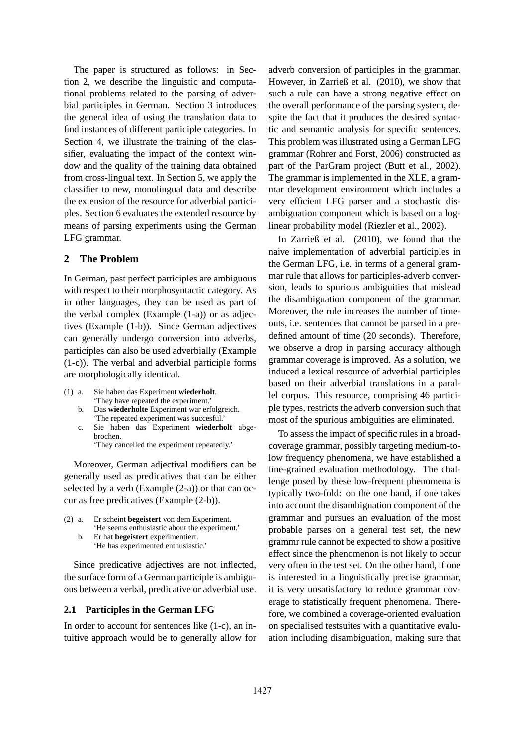The paper is structured as follows: in Section 2, we describe the linguistic and computational problems related to the parsing of adverbial participles in German. Section 3 introduces the general idea of using the translation data to find instances of different participle categories. In Section 4, we illustrate the training of the classifier, evaluating the impact of the context window and the quality of the training data obtained from cross-lingual text. In Section 5, we apply the classifier to new, monolingual data and describe the extension of the resource for adverbial participles. Section 6 evaluates the extended resource by means of parsing experiments using the German LFG grammar.

# **2 The Problem**

In German, past perfect participles are ambiguous with respect to their morphosyntactic category. As in other languages, they can be used as part of the verbal complex (Example (1-a)) or as adjectives (Example (1-b)). Since German adjectives can generally undergo conversion into adverbs, participles can also be used adverbially (Example (1-c)). The verbal and adverbial participle forms are morphologically identical.

- (1) a. Sie haben das Experiment **wiederholt**. 'They have repeated the experiment.'
	- b. Das **wiederholte** Experiment war erfolgreich. 'The repeated experiment was succesful.'
	- c. Sie haben das Experiment **wiederholt** abgebrochen. 'They cancelled the experiment repeatedly.'

Moreover, German adjectival modifiers can be generally used as predicatives that can be either selected by a verb (Example (2-a)) or that can occur as free predicatives (Example (2-b)).

(2) a. Er scheint **begeistert** von dem Experiment. 'He seems enthusiastic about the experiment.'

b. Er hat **begeistert** experimentiert. 'He has experimented enthusiastic.'

Since predicative adjectives are not inflected, the surface form of a German participle is ambiguous between a verbal, predicative or adverbial use.

### **2.1 Participles in the German LFG**

In order to account for sentences like (1-c), an intuitive approach would be to generally allow for adverb conversion of participles in the grammar. However, in Zarrieß et al. (2010), we show that such a rule can have a strong negative effect on the overall performance of the parsing system, despite the fact that it produces the desired syntactic and semantic analysis for specific sentences. This problem was illustrated using a German LFG grammar (Rohrer and Forst, 2006) constructed as part of the ParGram project (Butt et al., 2002). The grammar is implemented in the XLE, a grammar development environment which includes a very efficient LFG parser and a stochastic disambiguation component which is based on a loglinear probability model (Riezler et al., 2002).

In Zarrieß et al. (2010), we found that the naive implementation of adverbial participles in the German LFG, i.e. in terms of a general grammar rule that allows for participles-adverb conversion, leads to spurious ambiguities that mislead the disambiguation component of the grammar. Moreover, the rule increases the number of timeouts, i.e. sentences that cannot be parsed in a predefined amount of time (20 seconds). Therefore, we observe a drop in parsing accuracy although grammar coverage is improved. As a solution, we induced a lexical resource of adverbial participles based on their adverbial translations in a parallel corpus. This resource, comprising 46 participle types, restricts the adverb conversion such that most of the spurious ambiguities are eliminated.

To assess the impact of specific rules in a broadcoverage grammar, possibly targeting medium-tolow frequency phenomena, we have established a fine-grained evaluation methodology. The challenge posed by these low-frequent phenomena is typically two-fold: on the one hand, if one takes into account the disambiguation component of the grammar and pursues an evaluation of the most probable parses on a general test set, the new grammr rule cannot be expected to show a positive effect since the phenomenon is not likely to occur very often in the test set. On the other hand, if one is interested in a linguistically precise grammar, it is very unsatisfactory to reduce grammar coverage to statistically frequent phenomena. Therefore, we combined a coverage-oriented evaluation on specialised testsuites with a quantitative evaluation including disambiguation, making sure that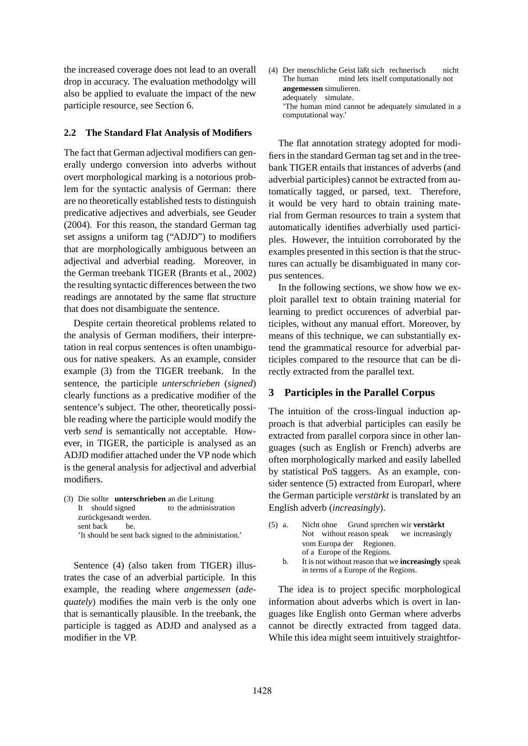the increased coverage does not lead to an overall drop in accuracy. The evaluation methodolgy will also be applied to evaluate the impact of the new participle resource, see Section 6.

#### **2.2 The Standard Flat Analysis of Modifiers**

The fact that German adjectival modifiers can generally undergo conversion into adverbs without overt morphological marking is a notorious problem for the syntactic analysis of German: there are no theoretically established tests to distinguish predicative adjectives and adverbials, see Geuder (2004). For this reason, the standard German tag set assigns a uniform tag ("ADJD") to modifiers that are morphologically ambiguous between an adjectival and adverbial reading. Moreover, in the German treebank TIGER (Brants et al., 2002) the resulting syntactic differences between the two readings are annotated by the same flat structure that does not disambiguate the sentence.

Despite certain theoretical problems related to the analysis of German modifiers, their interpretation in real corpus sentences is often unambiguous for native speakers. As an example, consider example (3) from the TIGER treebank. In the sentence, the participle *unterschrieben* (*signed*) clearly functions as a predicative modifier of the sentence's subject. The other, theoretically possible reading where the participle would modify the verb *send* is semantically not acceptable. However, in TIGER, the participle is analysed as an ADJD modifier attached under the VP node which is the general analysis for adjectival and adverbial modifiers.

(3) Die sollte **unterschrieben** an die Leitung It should signed to the administration zurückgesandt werden. sent back be. 'It should be sent back signed to the administation.'

Sentence (4) (also taken from TIGER) illustrates the case of an adverbial participle. In this example, the reading where *angemessen* (*adequately*) modifies the main verb is the only one that is semantically plausible. In the treebank, the participle is tagged as ADJD and analysed as a modifier in the VP.

(4) Der menschliche Geist läßt sich rechnerisch The human mind lets itself computationally not nicht **angemessen** simulieren. adequately simulate. 'The human mind cannot be adequately simulated in a computational way.'

The flat annotation strategy adopted for modifiers in the standard German tag set and in the treebank TIGER entails that instances of adverbs (and adverbial participles) cannot be extracted from automatically tagged, or parsed, text. Therefore, it would be very hard to obtain training material from German resources to train a system that automatically identifies adverbially used participles. However, the intuition corroborated by the examples presented in this section is that the structures can actually be disambiguated in many corpus sentences.

In the following sections, we show how we exploit parallel text to obtain training material for learning to predict occurences of adverbial participles, without any manual effort. Moreover, by means of this technique, we can substantially extend the grammatical resource for adverbial participles compared to the resource that can be directly extracted from the parallel text.

# **3 Participles in the Parallel Corpus**

The intuition of the cross-lingual induction approach is that adverbial participles can easily be extracted from parallel corpora since in other languages (such as English or French) adverbs are often morphologically marked and easily labelled by statistical PoS taggers. As an example, consider sentence (5) extracted from Europarl, where the German participle *verstarkt ¨* is translated by an English adverb (*increasingly*).

| $(5)$ a. | Nicht ohne Grund sprechen wir verstärkt                    |  |  |
|----------|------------------------------------------------------------|--|--|
|          | Not without reason speak we increasingly                   |  |  |
|          | vom Europa der Regionen.                                   |  |  |
|          | of a Europe of the Regions.                                |  |  |
| b.       | It is not without reason that we <b>increasingly</b> speak |  |  |
|          | in terms of a Europe of the Regions.                       |  |  |

The idea is to project specific morphological information about adverbs which is overt in languages like English onto German where adverbs cannot be directly extracted from tagged data. While this idea might seem intuitively straightfor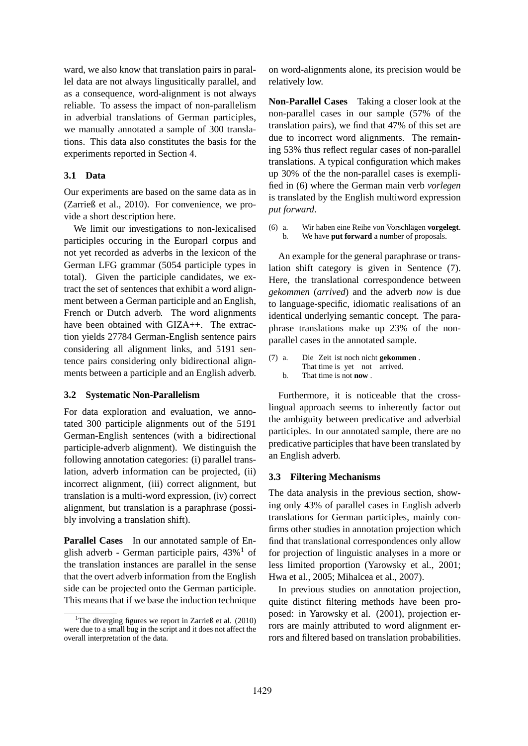ward, we also know that translation pairs in parallel data are not always lingusitically parallel, and as a consequence, word-alignment is not always reliable. To assess the impact of non-parallelism in adverbial translations of German participles, we manually annotated a sample of 300 translations. This data also constitutes the basis for the experiments reported in Section 4.

### **3.1 Data**

Our experiments are based on the same data as in (Zarrieß et al., 2010). For convenience, we provide a short description here.

We limit our investigations to non-lexicalised participles occuring in the Europarl corpus and not yet recorded as adverbs in the lexicon of the German LFG grammar (5054 participle types in total). Given the participle candidates, we extract the set of sentences that exhibit a word alignment between a German participle and an English, French or Dutch adverb. The word alignments have been obtained with GIZA++. The extraction yields 27784 German-English sentence pairs considering all alignment links, and 5191 sentence pairs considering only bidirectional alignments between a participle and an English adverb.

### **3.2 Systematic Non-Parallelism**

For data exploration and evaluation, we annotated 300 participle alignments out of the 5191 German-English sentences (with a bidirectional participle-adverb alignment). We distinguish the following annotation categories: (i) parallel translation, adverb information can be projected, (ii) incorrect alignment, (iii) correct alignment, but translation is a multi-word expression, (iv) correct alignment, but translation is a paraphrase (possibly involving a translation shift).

**Parallel Cases** In our annotated sample of English adverb - German participle pairs,  $43\%$ <sup>1</sup> of the translation instances are parallel in the sense that the overt adverb information from the English side can be projected onto the German participle. This means that if we base the induction technique on word-alignments alone, its precision would be relatively low.

**Non-Parallel Cases** Taking a closer look at the non-parallel cases in our sample (57% of the translation pairs), we find that 47% of this set are due to incorrect word alignments. The remaining 53% thus reflect regular cases of non-parallel translations. A typical configuration which makes up 30% of the the non-parallel cases is exemplified in (6) where the German main verb *vorlegen* is translated by the English multiword expression *put forward*.

(6) a. Wir haben eine Reihe von Vorschlägen **vorgelegt**. b. We have **put forward** a number of proposals.

An example for the general paraphrase or translation shift category is given in Sentence (7). Here, the translational correspondence between *gekommen* (*arrived*) and the adverb *now* is due to language-specific, idiomatic realisations of an identical underlying semantic concept. The paraphrase translations make up 23% of the nonparallel cases in the annotated sample.

Furthermore, it is noticeable that the crosslingual approach seems to inherently factor out the ambiguity between predicative and adverbial participles. In our annotated sample, there are no predicative participles that have been translated by an English adverb.

### **3.3 Filtering Mechanisms**

The data analysis in the previous section, showing only 43% of parallel cases in English adverb translations for German participles, mainly confirms other studies in annotation projection which find that translational correspondences only allow for projection of linguistic analyses in a more or less limited proportion (Yarowsky et al., 2001; Hwa et al., 2005; Mihalcea et al., 2007).

In previous studies on annotation projection, quite distinct filtering methods have been proposed: in Yarowsky et al. (2001), projection errors are mainly attributed to word alignment errors and filtered based on translation probabilities.

<sup>&</sup>lt;sup>1</sup>The diverging figures we report in Zarrieß et al.  $(2010)$ were due to a small bug in the script and it does not affect the overall interpretation of the data.

 $(7)$  a. That time is yet not arrived. Zeit ist noch nicht gekommen . b. That time is not **now** .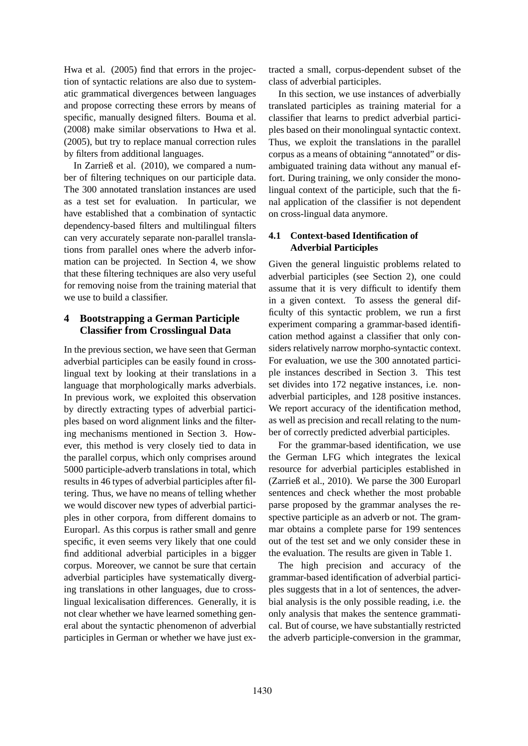Hwa et al. (2005) find that errors in the projection of syntactic relations are also due to systematic grammatical divergences between languages and propose correcting these errors by means of specific, manually designed filters. Bouma et al. (2008) make similar observations to Hwa et al. (2005), but try to replace manual correction rules by filters from additional languages.

In Zarrieß et al. (2010), we compared a number of filtering techniques on our participle data. The 300 annotated translation instances are used as a test set for evaluation. In particular, we have established that a combination of syntactic dependency-based filters and multilingual filters can very accurately separate non-parallel translations from parallel ones where the adverb information can be projected. In Section 4, we show that these filtering techniques are also very useful for removing noise from the training material that we use to build a classifier.

# **4 Bootstrapping a German Participle Classifier from Crosslingual Data**

In the previous section, we have seen that German adverbial participles can be easily found in crosslingual text by looking at their translations in a language that morphologically marks adverbials. In previous work, we exploited this observation by directly extracting types of adverbial participles based on word alignment links and the filtering mechanisms mentioned in Section 3. However, this method is very closely tied to data in the parallel corpus, which only comprises around 5000 participle-adverb translations in total, which results in 46 types of adverbial participles after filtering. Thus, we have no means of telling whether we would discover new types of adverbial participles in other corpora, from different domains to Europarl. As this corpus is rather small and genre specific, it even seems very likely that one could find additional adverbial participles in a bigger corpus. Moreover, we cannot be sure that certain adverbial participles have systematically diverging translations in other languages, due to crosslingual lexicalisation differences. Generally, it is not clear whether we have learned something general about the syntactic phenomenon of adverbial participles in German or whether we have just extracted a small, corpus-dependent subset of the class of adverbial participles.

In this section, we use instances of adverbially translated participles as training material for a classifier that learns to predict adverbial participles based on their monolingual syntactic context. Thus, we exploit the translations in the parallel corpus as a means of obtaining "annotated" or disambiguated training data without any manual effort. During training, we only consider the monolingual context of the participle, such that the final application of the classifier is not dependent on cross-lingual data anymore.

# **4.1 Context-based Identification of Adverbial Participles**

Given the general linguistic problems related to adverbial participles (see Section 2), one could assume that it is very difficult to identify them in a given context. To assess the general difficulty of this syntactic problem, we run a first experiment comparing a grammar-based identification method against a classifier that only considers relatively narrow morpho-syntactic context. For evaluation, we use the 300 annotated participle instances described in Section 3. This test set divides into 172 negative instances, i.e. nonadverbial participles, and 128 positive instances. We report accuracy of the identification method, as well as precision and recall relating to the number of correctly predicted adverbial participles.

For the grammar-based identification, we use the German LFG which integrates the lexical resource for adverbial participles established in (Zarrieß et al., 2010). We parse the 300 Europarl sentences and check whether the most probable parse proposed by the grammar analyses the respective participle as an adverb or not. The grammar obtains a complete parse for 199 sentences out of the test set and we only consider these in the evaluation. The results are given in Table 1.

The high precision and accuracy of the grammar-based identification of adverbial participles suggests that in a lot of sentences, the adverbial analysis is the only possible reading, i.e. the only analysis that makes the sentence grammatical. But of course, we have substantially restricted the adverb participle-conversion in the grammar,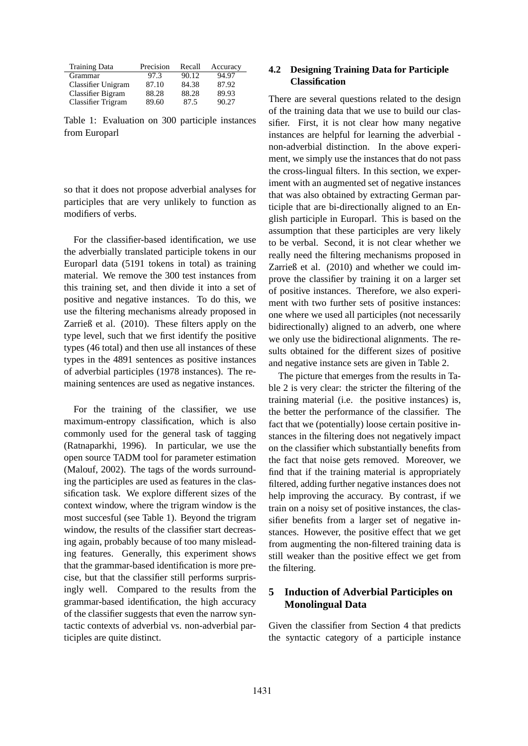| <b>Training Data</b> | Precision | Recall | Accuracy |
|----------------------|-----------|--------|----------|
| Grammar              | 97.3      | 90.12  | 94.97    |
| Classifier Unigram   | 87.10     | 84.38  | 87.92    |
| Classifier Bigram    | 88.28     | 88.28  | 89.93    |
| Classifier Trigram   | 89.60     | 87.5   | 90.27    |

Table 1: Evaluation on 300 participle instances from Europarl

so that it does not propose adverbial analyses for participles that are very unlikely to function as modifiers of verbs.

For the classifier-based identification, we use the adverbially translated participle tokens in our Europarl data (5191 tokens in total) as training material. We remove the 300 test instances from this training set, and then divide it into a set of positive and negative instances. To do this, we use the filtering mechanisms already proposed in Zarrieß et al. (2010). These filters apply on the type level, such that we first identify the positive types (46 total) and then use all instances of these types in the 4891 sentences as positive instances of adverbial participles (1978 instances). The remaining sentences are used as negative instances.

For the training of the classifier, we use maximum-entropy classification, which is also commonly used for the general task of tagging (Ratnaparkhi, 1996). In particular, we use the open source TADM tool for parameter estimation (Malouf, 2002). The tags of the words surrounding the participles are used as features in the classification task. We explore different sizes of the context window, where the trigram window is the most succesful (see Table 1). Beyond the trigram window, the results of the classifier start decreasing again, probably because of too many misleading features. Generally, this experiment shows that the grammar-based identification is more precise, but that the classifier still performs surprisingly well. Compared to the results from the grammar-based identification, the high accuracy of the classifier suggests that even the narrow syntactic contexts of adverbial vs. non-adverbial participles are quite distinct.

# **4.2 Designing Training Data for Participle Classification**

There are several questions related to the design of the training data that we use to build our classifier. First, it is not clear how many negative instances are helpful for learning the adverbial non-adverbial distinction. In the above experiment, we simply use the instances that do not pass the cross-lingual filters. In this section, we experiment with an augmented set of negative instances that was also obtained by extracting German participle that are bi-directionally aligned to an English participle in Europarl. This is based on the assumption that these participles are very likely to be verbal. Second, it is not clear whether we really need the filtering mechanisms proposed in Zarrieß et al. (2010) and whether we could improve the classifier by training it on a larger set of positive instances. Therefore, we also experiment with two further sets of positive instances: one where we used all participles (not necessarily bidirectionally) aligned to an adverb, one where we only use the bidirectional alignments. The results obtained for the different sizes of positive and negative instance sets are given in Table 2.

The picture that emerges from the results in Table 2 is very clear: the stricter the filtering of the training material (i.e. the positive instances) is, the better the performance of the classifier. The fact that we (potentially) loose certain positive instances in the filtering does not negatively impact on the classifier which substantially benefits from the fact that noise gets removed. Moreover, we find that if the training material is appropriately filtered, adding further negative instances does not help improving the accuracy. By contrast, if we train on a noisy set of positive instances, the classifier benefits from a larger set of negative instances. However, the positive effect that we get from augmenting the non-filtered training data is still weaker than the positive effect we get from the filtering.

# **5 Induction of Adverbial Participles on Monolingual Data**

Given the classifier from Section 4 that predicts the syntactic category of a participle instance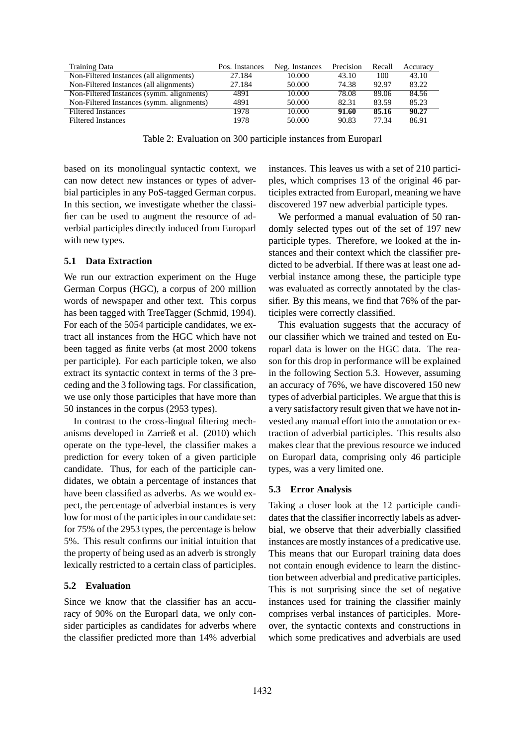| <b>Training Data</b>                      | Pos. Instances | Neg. Instances | Precision | Recall | Accuracy |
|-------------------------------------------|----------------|----------------|-----------|--------|----------|
| Non-Filtered Instances (all alignments)   | 27.184         | 10.000         | 43.10     | 100    | 43.10    |
| Non-Filtered Instances (all alignments)   | 27.184         | 50.000         | 74.38     | 92.97  | 83.22    |
| Non-Filtered Instances (symm. alignments) | 4891           | 10.000         | 78.08     | 89.06  | 84.56    |
| Non-Filtered Instances (symm. alignments) | 4891           | 50.000         | 82.31     | 83.59  | 85.23    |
| <b>Filtered Instances</b>                 | 1978           | 10.000         | 91.60     | 85.16  | 90.27    |
| <b>Filtered Instances</b>                 | 1978           | 50.000         | 90.83     | 77.34  | 86.91    |

Table 2: Evaluation on 300 participle instances from Europarl

based on its monolingual syntactic context, we can now detect new instances or types of adverbial participles in any PoS-tagged German corpus. In this section, we investigate whether the classifier can be used to augment the resource of adverbial participles directly induced from Europarl with new types.

### **5.1 Data Extraction**

We run our extraction experiment on the Huge German Corpus (HGC), a corpus of 200 million words of newspaper and other text. This corpus has been tagged with TreeTagger (Schmid, 1994). For each of the 5054 participle candidates, we extract all instances from the HGC which have not been tagged as finite verbs (at most 2000 tokens per participle). For each participle token, we also extract its syntactic context in terms of the 3 preceding and the 3 following tags. For classification, we use only those participles that have more than 50 instances in the corpus (2953 types).

In contrast to the cross-lingual filtering mechanisms developed in Zarrieß et al. (2010) which operate on the type-level, the classifier makes a prediction for every token of a given participle candidate. Thus, for each of the participle candidates, we obtain a percentage of instances that have been classified as adverbs. As we would expect, the percentage of adverbial instances is very low for most of the participles in our candidate set: for 75% of the 2953 types, the percentage is below 5%. This result confirms our initial intuition that the property of being used as an adverb is strongly lexically restricted to a certain class of participles.

### **5.2 Evaluation**

Since we know that the classifier has an accuracy of 90% on the Europarl data, we only consider participles as candidates for adverbs where the classifier predicted more than 14% adverbial instances. This leaves us with a set of 210 participles, which comprises 13 of the original 46 participles extracted from Europarl, meaning we have discovered 197 new adverbial participle types.

We performed a manual evaluation of 50 randomly selected types out of the set of 197 new participle types. Therefore, we looked at the instances and their context which the classifier predicted to be adverbial. If there was at least one adverbial instance among these, the participle type was evaluated as correctly annotated by the classifier. By this means, we find that 76% of the participles were correctly classified.

This evaluation suggests that the accuracy of our classifier which we trained and tested on Europarl data is lower on the HGC data. The reason for this drop in performance will be explained in the following Section 5.3. However, assuming an accuracy of 76%, we have discovered 150 new types of adverbial participles. We argue that this is a very satisfactory result given that we have not invested any manual effort into the annotation or extraction of adverbial participles. This results also makes clear that the previous resource we induced on Europarl data, comprising only 46 participle types, was a very limited one.

#### **5.3 Error Analysis**

Taking a closer look at the 12 participle candidates that the classifier incorrectly labels as adverbial, we observe that their adverbially classified instances are mostly instances of a predicative use. This means that our Europarl training data does not contain enough evidence to learn the distinction between adverbial and predicative participles. This is not surprising since the set of negative instances used for training the classifier mainly comprises verbal instances of participles. Moreover, the syntactic contexts and constructions in which some predicatives and adverbials are used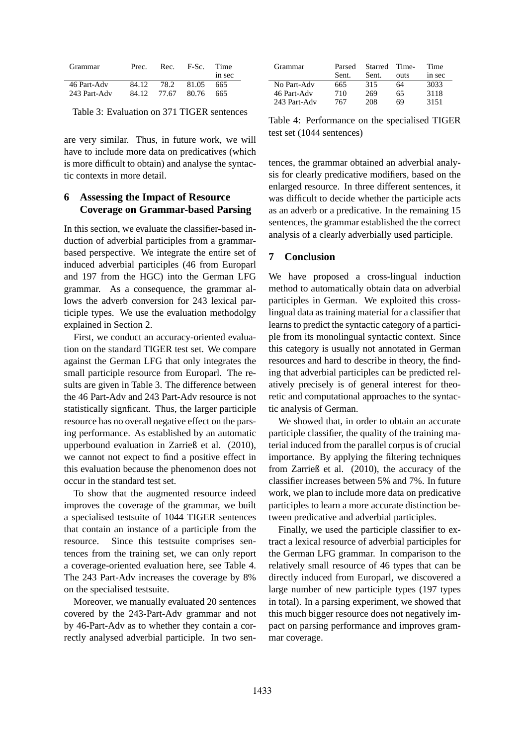| Grammar      | Prec.  | Rec.  | F-Sc. | Time<br>in sec |
|--------------|--------|-------|-------|----------------|
| 46 Part-Adv  | 84.12. | 78.2  | 81.05 | 665            |
| 243 Part-Adv | 84.12  | 77.67 | 80.76 | 665            |

Table 3: Evaluation on 371 TIGER sentences

are very similar. Thus, in future work, we will have to include more data on predicatives (which is more difficult to obtain) and analyse the syntactic contexts in more detail.

# **6 Assessing the Impact of Resource Coverage on Grammar-based Parsing**

In this section, we evaluate the classifier-based induction of adverbial participles from a grammarbased perspective. We integrate the entire set of induced adverbial participles (46 from Europarl and 197 from the HGC) into the German LFG grammar. As a consequence, the grammar allows the adverb conversion for 243 lexical participle types. We use the evaluation methodolgy explained in Section 2.

First, we conduct an accuracy-oriented evaluation on the standard TIGER test set. We compare against the German LFG that only integrates the small participle resource from Europarl. The results are given in Table 3. The difference between the 46 Part-Adv and 243 Part-Adv resource is not statistically signficant. Thus, the larger participle resource has no overall negative effect on the parsing performance. As established by an automatic upperbound evaluation in Zarrieß et al. (2010), we cannot not expect to find a positive effect in this evaluation because the phenomenon does not occur in the standard test set.

To show that the augmented resource indeed improves the coverage of the grammar, we built a specialised testsuite of 1044 TIGER sentences that contain an instance of a participle from the resource. Since this testsuite comprises sentences from the training set, we can only report a coverage-oriented evaluation here, see Table 4. The 243 Part-Adv increases the coverage by 8% on the specialised testsuite.

Moreover, we manually evaluated 20 sentences covered by the 243-Part-Adv grammar and not by 46-Part-Adv as to whether they contain a correctly analysed adverbial participle. In two sen-

| Grammar      | Parsed | Starred | Time- | Time   |
|--------------|--------|---------|-------|--------|
|              | Sent.  | Sent.   | outs  | in sec |
| No Part-Adv  | 665    | 315     | 64    | 3033   |
| 46 Part-Adv  | 710    | 269     | 65    | 3118   |
| 243 Part-Adv | 767    | 208     | 69    | 3151   |

Table 4: Performance on the specialised TIGER test set (1044 sentences)

tences, the grammar obtained an adverbial analysis for clearly predicative modifiers, based on the enlarged resource. In three different sentences, it was difficult to decide whether the participle acts as an adverb or a predicative. In the remaining 15 sentences, the grammar established the the correct analysis of a clearly adverbially used participle.

# **7 Conclusion**

We have proposed a cross-lingual induction method to automatically obtain data on adverbial participles in German. We exploited this crosslingual data as training material for a classifier that learns to predict the syntactic category of a participle from its monolingual syntactic context. Since this category is usually not annotated in German resources and hard to describe in theory, the finding that adverbial participles can be predicted relatively precisely is of general interest for theoretic and computational approaches to the syntactic analysis of German.

We showed that, in order to obtain an accurate participle classifier, the quality of the training material induced from the parallel corpus is of crucial importance. By applying the filtering techniques from Zarrieß et al. (2010), the accuracy of the classifier increases between 5% and 7%. In future work, we plan to include more data on predicative participles to learn a more accurate distinction between predicative and adverbial participles.

Finally, we used the participle classifier to extract a lexical resource of adverbial participles for the German LFG grammar. In comparison to the relatively small resource of 46 types that can be directly induced from Europarl, we discovered a large number of new participle types (197 types in total). In a parsing experiment, we showed that this much bigger resource does not negatively impact on parsing performance and improves grammar coverage.